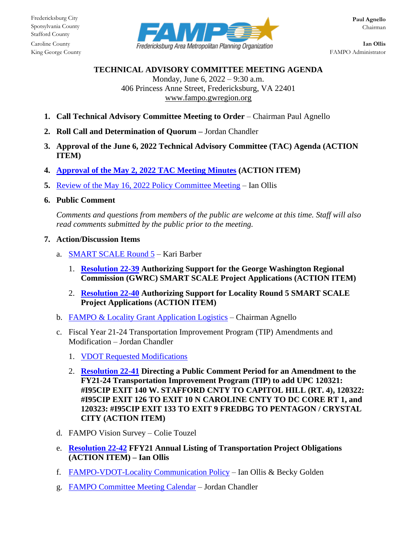

King George County **FAMPO** Administrator

## **TECHNICAL ADVISORY COMMITTEE MEETING AGENDA**

Monday, June 6, 2022 – 9:30 a.m. 406 Princess Anne Street, Fredericksburg, VA 22401 [www.fampo.gwregion.org](http://www.fampo.gwregion.org/)

- **1. Call Technical Advisory Committee Meeting to Order** Chairman Paul Agnello
- **2. Roll Call and Determination of Quorum –** Jordan Chandler
- **3. Approval of the June 6, 2022 Technical Advisory Committee (TAC) Agenda (ACTION ITEM)**
- **4. Approval of the May 2, 2022 [TAC Meeting Minutes](https://www.fampo.gwregion.org/wp-content/uploads/2022/05/2022.05.02-TAC-Draft-Meeting-Minutes.pdf) (ACTION ITEM)**
- **5.** Review of the May 16, 2022 [Policy Committee Meeting](https://www.fampo.gwregion.org/wp-content/uploads/2022/05/2022.05.16-Policy-Committee-Agenda.pdf) Ian Ollis
- **6. Public Comment**

*Comments and questions from members of the public are welcome at this time. Staff will also read comments submitted by the public prior to the meeting.*

- **7. Action/Discussion Items**
	- a. [SMART SCALE Round 5](https://www.fampo.gwregion.org/wp-content/uploads/2022/06/7a_SMART-SCALE-Round-5-Update_June-TAC.pdf) Kari Barber
		- 1. **[Resolution 22-39](https://www.fampo.gwregion.org/wp-content/uploads/2022/06/7a1_DRAFT-Resolution-22-39-1.pdf) Authorizing Support for the George Washington Regional Commission (GWRC) SMART SCALE Project Applications (ACTION ITEM)**
		- 2. **[Resolution 22-40](https://www.fampo.gwregion.org/wp-content/uploads/2022/06/7a2_DRAFT-Resolution-22-40.pdf) Authorizing Support for Locality Round 5 SMART SCALE Project Applications (ACTION ITEM)**
	- b. [FAMPO & Locality Grant Application Logistics](https://www.fampo.gwregion.org/wp-content/uploads/2022/06/7b_FAMPO-Locality-Grant-Application-Logistics.pdf) Chairman Agnello
	- c. Fiscal Year 21-24 Transportation Improvement Program (TIP) Amendments and Modification – Jordan Chandler
		- 1. [VDOT Requested Modifications](https://www.fampo.gwregion.org/wp-content/uploads/2022/06/7c1_TIP-STIP-Blocks-Modification-Request.pdf)
		- 2. **[Resolution 22-41](https://www.fampo.gwregion.org/wp-content/uploads/2022/06/7c2_Resolution-22-41.pdf) Directing a Public Comment Period for an Amendment to the FY21-24 Transportation Improvement Program (TIP) to add UPC 120321: #I95CIP EXIT 140 W. STAFFORD CNTY TO CAPITOL HILL (RT. 4), 120322: #I95CIP EXIT 126 TO EXIT 10 N CAROLINE CNTY TO DC CORE RT 1, and 120323: #I95CIP EXIT 133 TO EXIT 9 FREDBG TO PENTAGON / CRYSTAL CITY (ACTION ITEM)**
	- d. FAMPO Vision Survey Colie Touzel
	- e. **[Resolution 22-42](https://www.fampo.gwregion.org/wp-content/uploads/2022/06/7e_Resolution-22-42-1.pdf) FFY21 Annual Listing of Transportation Project Obligations (ACTION ITEM) – Ian Ollis**
	- f. [FAMPO-VDOT-Locality Communication Policy](https://www.fampo.gwregion.org/wp-content/uploads/2022/06/7f_FAMPO-VDOT-Locality-Communitcation-Policy.pdf) Ian Ollis & Becky Golden
	- g. [FAMPO Committee Meeting Calendar](https://www.fampo.gwregion.org/wp-content/uploads/2022/06/7g_2022-FAMPO-Calendar-May-25-2022.pdf) Jordan Chandler